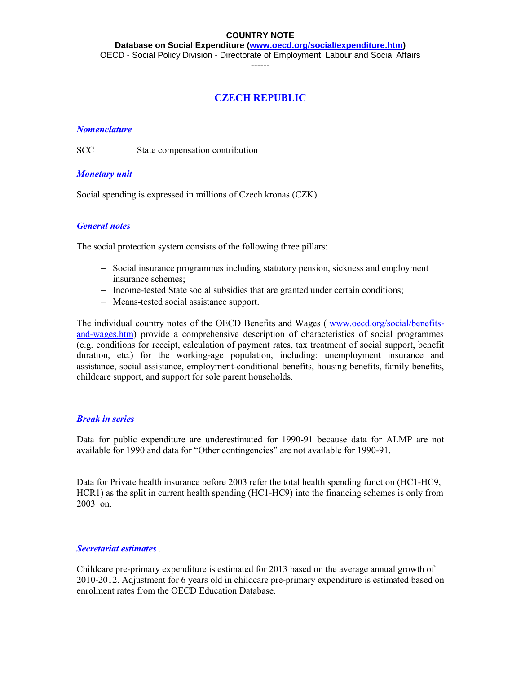**Database on Social Expenditure [\(www.oecd.org/social/expenditure.htm\)](http://www.oecd.org/social/expenditure.htm)**

OECD - Social Policy Division - Directorate of Employment, Labour and Social Affairs

------

## **CZECH REPUBLIC**

#### *Nomenclature*

SCC State compensation contribution

#### *Monetary unit*

Social spending is expressed in millions of Czech kronas (CZK).

#### *General notes*

The social protection system consists of the following three pillars:

- Social insurance programmes including statutory pension, sickness and employment insurance schemes;
- Income-tested State social subsidies that are granted under certain conditions;
- Means-tested social assistance support.

The individual country notes of the OECD Benefits and Wages ( [www.oecd.org/social/benefits](http://www.oecd.org/social/benefits-and-wages.htm)[and-wages.htm\)](http://www.oecd.org/social/benefits-and-wages.htm) provide a comprehensive description of characteristics of social programmes (e.g. conditions for receipt, calculation of payment rates, tax treatment of social support, benefit duration, etc.) for the working-age population, including: unemployment insurance and assistance, social assistance, employment-conditional benefits, housing benefits, family benefits, childcare support, and support for sole parent households.

#### *Break in series*

Data for public expenditure are underestimated for 1990-91 because data for ALMP are not available for 1990 and data for "Other contingencies" are not available for 1990-91.

Data for Private health insurance before 2003 refer the total health spending function (HC1-HC9, HCR1) as the split in current health spending (HC1-HC9) into the financing schemes is only from 2003 on.

#### *Secretariat estimates* .

Childcare pre-primary expenditure is estimated for 2013 based on the average annual growth of 2010-2012. Adjustment for 6 years old in childcare pre-primary expenditure is estimated based on enrolment rates from the OECD Education Database.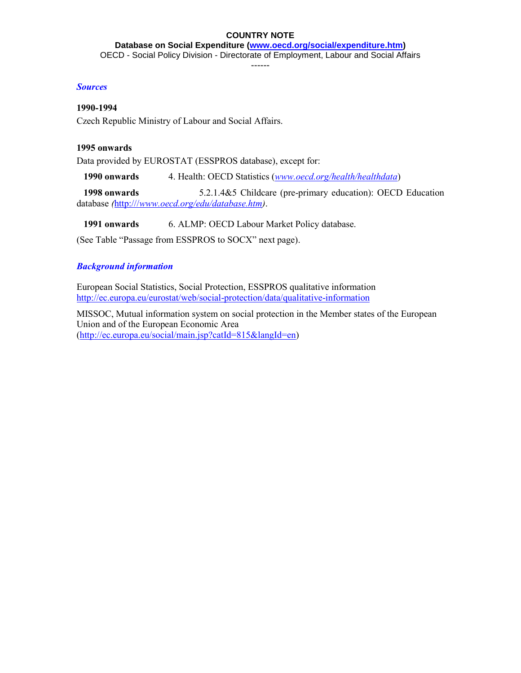**Database on Social Expenditure [\(www.oecd.org/social/expenditure.htm\)](http://www.oecd.org/social/expenditure.htm)**

OECD - Social Policy Division - Directorate of Employment, Labour and Social Affairs

------

#### *Sources*

#### **1990-1994**

Czech Republic Ministry of Labour and Social Affairs.

#### **1995 onwards**

Data provided by EUROSTAT (ESSPROS database), except for:

 **1990 onwards** 4. Health: OECD Statistics (*[www.oecd.org/health/healthdata](http://www.oecd.org/health/healthdata)*)

 **1998 onwards** 5.2.1.4&5 Childcare (pre-primary education): OECD Education database *(*[http:///](http://)*[www.oecd.org/edu/database.htm\)](http://)*.

**1991 onwards** 6. ALMP: OECD Labour Market Policy database.

(See Table "Passage from ESSPROS to SOCX" next page).

### *Background information*

European Social Statistics, Social Protection, ESSPROS qualitative information <http://ec.europa.eu/eurostat/web/social-protection/data/qualitative-information>

MISSOC, Mutual information system on social protection in the Member states of the European Union and of the European Economic Area [\(http://ec.europa.eu/social/main.jsp?catId=815&langId=en\)](http://ec.europa.eu/social/main.jsp?catId=815&langId=en)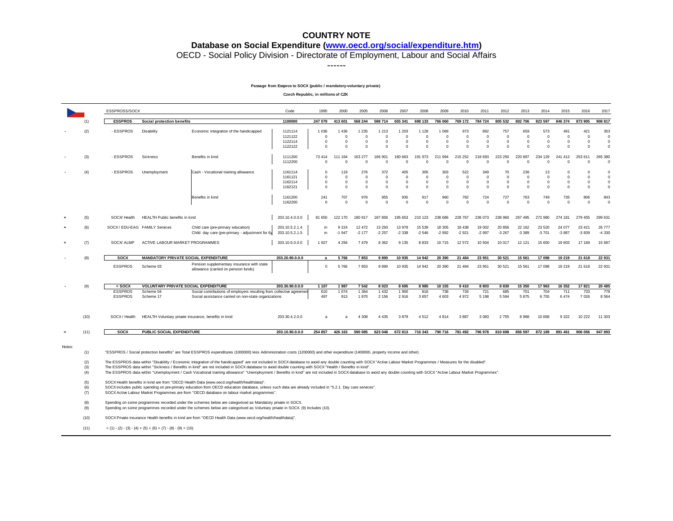#### **Database on Social Expenditure [\(www.oecd.org/social/expenditure.htm\)](http://www.oecd.org/social/expenditure.htm)**

OECD - Social Policy Division - Directorate of Employment, Labour and Social Affairs

------

#### **Passage from Esspros to SOCX (public / mandatory-voluntary private)**

**Czech Republic, in millions of CZK**

|          |                                                                     | ESSPROSS/SOCX                                                                                                                                                                                                                                                                                                                                                                                                                                                                                                                                                                                                                                                                                                                                                                                                                                                                                                                                                                                                                                                                                                                                                                                                                                                                                                                                                                                                                                                                                                             |                                                      |                                                                                                                              | Code                                     | 1995                                          | 2000                                              | 2005                                          | 2006                                             | 2007                                               | 2008                                          | 2009                                          | 2010                                        | 2011                                          | 2012                                      | 2013                                         | 2014                                         | 2015                                            | 2016                                         | 2017                                                  |
|----------|---------------------------------------------------------------------|---------------------------------------------------------------------------------------------------------------------------------------------------------------------------------------------------------------------------------------------------------------------------------------------------------------------------------------------------------------------------------------------------------------------------------------------------------------------------------------------------------------------------------------------------------------------------------------------------------------------------------------------------------------------------------------------------------------------------------------------------------------------------------------------------------------------------------------------------------------------------------------------------------------------------------------------------------------------------------------------------------------------------------------------------------------------------------------------------------------------------------------------------------------------------------------------------------------------------------------------------------------------------------------------------------------------------------------------------------------------------------------------------------------------------------------------------------------------------------------------------------------------------|------------------------------------------------------|------------------------------------------------------------------------------------------------------------------------------|------------------------------------------|-----------------------------------------------|---------------------------------------------------|-----------------------------------------------|--------------------------------------------------|----------------------------------------------------|-----------------------------------------------|-----------------------------------------------|---------------------------------------------|-----------------------------------------------|-------------------------------------------|----------------------------------------------|----------------------------------------------|-------------------------------------------------|----------------------------------------------|-------------------------------------------------------|
|          | (1)                                                                 | <b>ESSPROS</b>                                                                                                                                                                                                                                                                                                                                                                                                                                                                                                                                                                                                                                                                                                                                                                                                                                                                                                                                                                                                                                                                                                                                                                                                                                                                                                                                                                                                                                                                                                            | Social protection benefits                           |                                                                                                                              | 1100000                                  | 247 079                                       | 413 601                                           | 568 244                                       | 598 714                                          | 655 341                                            | 698 133                                       | 766 060                                       | 769 172                                     | 784 724                                       | 805 532                                   | 802 706                                      | 823 597                                      | 846 374                                         | 873 905                                      | 908 817                                               |
|          | (2)                                                                 | - ESSPROS                                                                                                                                                                                                                                                                                                                                                                                                                                                                                                                                                                                                                                                                                                                                                                                                                                                                                                                                                                                                                                                                                                                                                                                                                                                                                                                                                                                                                                                                                                                 | Disability                                           | Economic integration of the handicapped                                                                                      | 1121114<br>1121122<br>1122114<br>1122122 | 1 0 3 6<br>$\Omega$<br>$^{\circ}$<br>$\Omega$ | 1436<br>$\Omega$<br>0<br>$\Omega$                 | 1 2 3 5<br>$\Omega$<br>$^{\circ}$<br>$\Omega$ | 1 2 1 3<br>$\Omega$<br>$\mathbf 0$<br>$\Omega$   | 1 2 0 3<br>$\Omega$<br>$\overline{0}$<br>$\Omega$  | 1 1 2 8<br>$\Omega$<br>$^{\circ}$<br>$\Omega$ | 1 0 6 9<br>$\Omega$<br>$^{\circ}$<br>$\Omega$ | 973<br>$\Omega$<br>$^{\circ}$<br>$\Omega$   | 892<br>$\Omega$<br>$^{\circ}$<br>$\Omega$     | 757<br>$\Omega$<br>$\circ$<br>$\Omega$    | 659<br>$\Omega$<br>$\mathbf 0$<br>$\Omega$   | 573<br>$\Omega$<br>$\circ$<br>$\Omega$       | 491<br>$\Omega$<br>0<br>$\Omega$                | 421<br>$\Omega$<br>$^{\circ}$<br>$\Omega$    | 353<br>$\overline{0}$<br>$^{\circ}$<br>$\Omega$       |
|          | (3)                                                                 | - ESSPROS                                                                                                                                                                                                                                                                                                                                                                                                                                                                                                                                                                                                                                                                                                                                                                                                                                                                                                                                                                                                                                                                                                                                                                                                                                                                                                                                                                                                                                                                                                                 | Sickness                                             | Benefits in kind                                                                                                             | 1111200<br>1112200                       | 73 414<br>$\Omega$                            | 111 164<br>$\Omega$                               | 163 277<br>$\Omega$                           | 166 901<br>$\Omega$                              | 180 663<br>$\Omega$                                | 191 973<br>$\Omega$                           | 211 994<br>$\Omega$                           | 215 252<br>$\Omega$                         | 218 693<br>$\Omega$                           | 223 250<br>$\Omega$                       | 220 897<br>$\Omega$                          | 234 129<br>$\Omega$                          | 241 413<br>$\Omega$                             | 253 611<br>$\Omega$                          | 265 380<br>$\Omega$                                   |
|          | (4)                                                                 | - ESSPROS                                                                                                                                                                                                                                                                                                                                                                                                                                                                                                                                                                                                                                                                                                                                                                                                                                                                                                                                                                                                                                                                                                                                                                                                                                                                                                                                                                                                                                                                                                                 | Unemployment                                         | Cash - Vocational training allowance                                                                                         | 1161114<br>1161121<br>1162114<br>1162121 | $\Omega$<br>$\Omega$<br>$\Omega$<br>$\Omega$  | 119<br>$\mathbf{0}$<br>$\mathbf 0$<br>$\mathbf 0$ | 276<br>$^{\circ}$<br>$\Omega$<br>$\Omega$     | 372<br>$\mathbf 0$<br>$\mathbf 0$<br>$\mathbf 0$ | 405<br>$\overline{0}$<br>$^{\circ}$<br>$\mathbf 0$ | 305<br>$\mathbf{0}$<br>$\Omega$<br>$\Omega$   | 303<br>$^{\circ}$<br>$\Omega$<br>$\Omega$     | 522<br>$\mathbf{0}$<br>$\Omega$<br>$\Omega$ | 349<br>$\mathbf 0$<br>$\mathbf 0$<br>$\Omega$ | 70<br>$\mathbf 0$<br>$\Omega$<br>$\Omega$ | 236<br>$\mathbf 0$<br>$\mathbf 0$<br>$\circ$ | 13<br>$\overline{0}$<br>$\Omega$<br>$\Omega$ | $\Omega$<br>$\Omega$<br>$\Omega$<br>$\mathbf 0$ | $\Omega$<br>$\Omega$<br>$\Omega$<br>$\Omega$ | $\Omega$<br>$\mathbf{0}$<br>$\mathbf 0$<br>$^{\circ}$ |
|          |                                                                     |                                                                                                                                                                                                                                                                                                                                                                                                                                                                                                                                                                                                                                                                                                                                                                                                                                                                                                                                                                                                                                                                                                                                                                                                                                                                                                                                                                                                                                                                                                                           |                                                      | Benefits in kind                                                                                                             | 1161200<br>1162200                       | 241<br>$\Omega$                               | 707<br>$\mathbf 0$                                | 976<br>$\theta$                               | 955<br>$\mathbf 0$                               | 935<br>$\overline{0}$                              | 917<br>$\mathbf{0}$                           | 960<br>$\Omega$                               | 782<br>$\Omega$                             | 724<br>$\mathbf 0$                            | 727<br>$\mathbf 0$                        | 763<br>$\mathbf 0$                           | 749<br>$\Omega$                              | 735<br>$^{\circ}$                               | 806<br>$^{\circ}$                            | 843<br>$\overline{0}$                                 |
|          | (5)                                                                 | SOCX/ Health                                                                                                                                                                                                                                                                                                                                                                                                                                                                                                                                                                                                                                                                                                                                                                                                                                                                                                                                                                                                                                                                                                                                                                                                                                                                                                                                                                                                                                                                                                              | HEALTH Public benefits in kind                       |                                                                                                                              | 203.10.4.0.0.0                           | 81 650                                        | 122 170                                           | 180 917                                       | 187 856                                          | 195 653                                            | 210 123                                       | 238 686                                       | 228 767                                     | 236 073                                       | 238 960                                   | 267 495                                      | 272 980                                      | 274 181                                         | 279 455                                      | 299 631                                               |
|          | (6)                                                                 |                                                                                                                                                                                                                                                                                                                                                                                                                                                                                                                                                                                                                                                                                                                                                                                                                                                                                                                                                                                                                                                                                                                                                                                                                                                                                                                                                                                                                                                                                                                           | SOCX/EDU-EAG FAMILY Services                         | Child care (pre-primary education)<br>Child day care (pre-primary - adjustment for 6y                                        | 203.10.5.2.1.4<br>203.10.5.2.1.5         | m<br>m                                        | 9 2 2 4<br>$-1947$                                | 12 472<br>$-2177$                             | 13 29 3<br>$-2257$                               | 13 979<br>$-2338$                                  | 15 539<br>$-2546$                             | 18 30 5<br>$-2992$                            | 18 4 38<br>$-2921$                          | 19 002<br>$-2997$                             | 20 856<br>$-3267$                         | 22 162<br>$-3.389$                           | 23 5 20<br>$-3701$                           | 24 077<br>$-3887$                               | 23 4 21<br>$-3839$                           | 26 777<br>-4 330                                      |
|          | (7)                                                                 | <b>SOCX ALMP</b>                                                                                                                                                                                                                                                                                                                                                                                                                                                                                                                                                                                                                                                                                                                                                                                                                                                                                                                                                                                                                                                                                                                                                                                                                                                                                                                                                                                                                                                                                                          | ACTIVE LABOUR MARKET PROGRAMMES                      |                                                                                                                              | 203.10.6.0.0.0                           | 1927                                          | 4 2 9 4                                           | 7 4 7 9                                       | 8 3 6 2                                          | 9 1 3 5                                            | 8 8 3 3                                       | 10 715                                        | 12 572                                      | 10 504                                        | 10 017                                    | 12 121                                       | 15 650                                       | 19 603                                          | 17 169                                       | 15 687                                                |
|          | (8)                                                                 | <b>SOCX</b>                                                                                                                                                                                                                                                                                                                                                                                                                                                                                                                                                                                                                                                                                                                                                                                                                                                                                                                                                                                                                                                                                                                                                                                                                                                                                                                                                                                                                                                                                                               | <b>MANDATORY PRIVATE SOCIAL EXPENDITURE</b>          |                                                                                                                              | 203.20.90.0.0.0                          | $\overline{a}$                                | 5766                                              | 7853                                          | 9890                                             | 10 935                                             | 14 942                                        | 20 390                                        | 21 484                                      | 23 951                                        | 30 521                                    | 15 561                                       | 17 098                                       | 19 219                                          | 21 618                                       | 22 931                                                |
|          |                                                                     | <b>ESSPROS</b>                                                                                                                                                                                                                                                                                                                                                                                                                                                                                                                                                                                                                                                                                                                                                                                                                                                                                                                                                                                                                                                                                                                                                                                                                                                                                                                                                                                                                                                                                                            | Scheme 03                                            | Pension supplementary insurance with state<br>allowance (carried on pension funds)                                           |                                          | $\circ$                                       | 5766                                              | 7853                                          | 9890                                             | 10 935                                             | 14 942                                        | 20 390                                        | 21 4 8 4                                    | 23 951                                        | 30 5 21                                   | 15 561                                       | 17 098                                       | 19 219                                          | 21 618                                       | 22 931                                                |
|          | (9)                                                                 | $=$ SOCX                                                                                                                                                                                                                                                                                                                                                                                                                                                                                                                                                                                                                                                                                                                                                                                                                                                                                                                                                                                                                                                                                                                                                                                                                                                                                                                                                                                                                                                                                                                  | <b>VOLUNTARY PRIVATE SOCIAL EXPENDITURE</b>          |                                                                                                                              | 203.30.90.0.0.0                          | 1 1 0 7                                       | 1987                                              | 7 5 4 2                                       | 8 0 23                                           | 8 6 9 5                                            | 8 9 8 5                                       | 10 155                                        | 9410                                        | 8803                                          | 8 8 3 0                                   | 15 350                                       | 17 963                                       | 16 352                                          | 17821                                        | 20 485                                                |
|          |                                                                     | <b>ESSPROS</b><br><b>ESSPROS</b>                                                                                                                                                                                                                                                                                                                                                                                                                                                                                                                                                                                                                                                                                                                                                                                                                                                                                                                                                                                                                                                                                                                                                                                                                                                                                                                                                                                                                                                                                          | Scheme 04<br>Scheme 17                               | Social contributions of employers resulting from collective agreemen<br>Social assistance carried on non-state organizations |                                          | 610<br>497                                    | 1074<br>913                                       | 1 3 6 4<br>1870                               | 1 4 3 2<br>2 1 5 6                               | 1 900<br>2916                                      | 816<br>3 6 5 7                                | 738<br>4 603                                  | 726<br>4972                                 | 721<br>5 1 9 8                                | 685<br>5 5 9 4                            | 701<br>5 8 7 5                               | 704<br>6755                                  | 711<br>6 4 7 4                                  | 733<br>7 0 26                                | 778<br>8 5 6 4                                        |
|          | (10)                                                                | SOCX / Health                                                                                                                                                                                                                                                                                                                                                                                                                                                                                                                                                                                                                                                                                                                                                                                                                                                                                                                                                                                                                                                                                                                                                                                                                                                                                                                                                                                                                                                                                                             | HEALTH Voluntary private insurance, benefits in kind |                                                                                                                              | 203.30.4.2.0.0                           | a                                             | a                                                 | 4 3 0 8                                       | 4 4 3 5                                          | 3879                                               | 4512                                          | 4 8 1 4                                       | 3887                                        | 3 0 8 3                                       | 2755                                      | 8 9 6 8                                      | 10 668                                       | 9 3 2 2                                         | 10 222                                       | 11 303                                                |
| $\equiv$ | (11)                                                                | socx                                                                                                                                                                                                                                                                                                                                                                                                                                                                                                                                                                                                                                                                                                                                                                                                                                                                                                                                                                                                                                                                                                                                                                                                                                                                                                                                                                                                                                                                                                                      | PUBLIC SOCIAL EXPENDITURE                            |                                                                                                                              | 203.10.90.0.0.0                          | 254 857                                       | 426 163                                           | 590 085                                       | 623 048                                          | 672 813                                            | 716 343                                       | 790 716                                       | 781 492                                     | 796 978                                       | 810 698                                   | 856 597                                      | 872 189                                      | 891 461                                         | 906 056                                      | 947 893                                               |
| Notes:   | (1)<br>(2)<br>(3)<br>(4)<br>(5)<br>(6)<br>(7)<br>(8)<br>(9)<br>(10) | "ESSPROS / Social protection benefits" are Total ESSPROS expenditures (1000000) less Adiministration costs (1200000) and other expenditure (1400000, property income and other).<br>The ESSPROS data within "Disability / Economic integration of the handicapped" are not included in SOCX database to avoid any double counting with SOCX "Active Labour Market Programmes / Measures for the disabled".<br>The ESSPROS data within "Sickness / Benefits in kind" are not included in SOCX database to avoid double counting with SOCX "Health / Benefits in kind".<br>The ESSPROS data within "Unemployment / Cash Vocational training allowance" "Unemployment / Benefits in kind" are not included in SOCX database to avoid any double counting with SOCX "Active Labour Market Programmes".<br>SOCX Health benefits in kind are from "OECD Health Data (www.oecd.org/health/healthdata)".<br>SOCX includes public spending on pre-primary education from OECD education database, unless such data are already included in "5.2.1. Day care services".<br>SOCX Active Labour Market Programmes are from "OECD database on labour market programmes".<br>Spending on some programmes recorded under the schemes below are categorised as Mandatory private in SOCX.<br>Spending on some programmes recorded under the schemes below are categorised as Voluntary private in SOCX (9) Includes (10).<br>SOCX Private insurance Health benefits in kind are from "OECD Health Data (www.oecd.org/health/healthdata)". |                                                      |                                                                                                                              |                                          |                                               |                                                   |                                               |                                                  |                                                    |                                               |                                               |                                             |                                               |                                           |                                              |                                              |                                                 |                                              |                                                       |
|          | (11)                                                                | $=(1)-(2)-(3)-(4)+(5)+(6)+(7)-(8)-(9)+(10)$                                                                                                                                                                                                                                                                                                                                                                                                                                                                                                                                                                                                                                                                                                                                                                                                                                                                                                                                                                                                                                                                                                                                                                                                                                                                                                                                                                                                                                                                               |                                                      |                                                                                                                              |                                          |                                               |                                                   |                                               |                                                  |                                                    |                                               |                                               |                                             |                                               |                                           |                                              |                                              |                                                 |                                              |                                                       |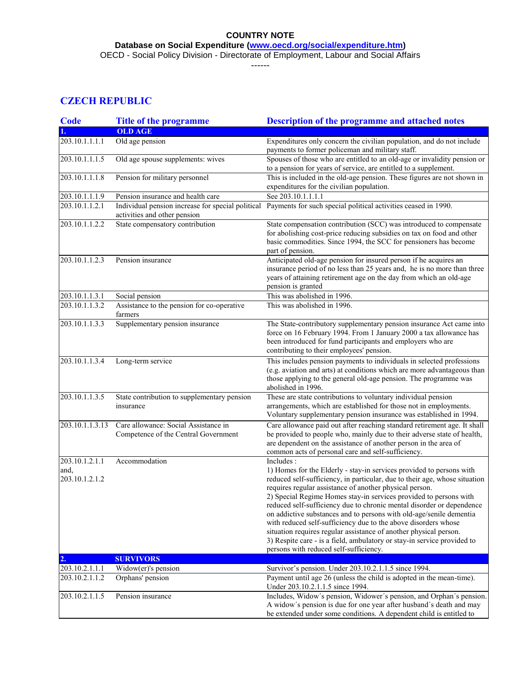**Database on Social Expenditure [\(www.oecd.org/social/expenditure.htm\)](http://www.oecd.org/social/expenditure.htm)**

OECD - Social Policy Division - Directorate of Employment, Labour and Social Affairs

------

# **CZECH REPUBLIC**

| <b>Code</b>             | <b>Title of the programme</b>                                                | <b>Description of the programme and attached notes</b>                                                                                                                                                                                                                                                                                                                                                                                                                                                                                                                                                                 |
|-------------------------|------------------------------------------------------------------------------|------------------------------------------------------------------------------------------------------------------------------------------------------------------------------------------------------------------------------------------------------------------------------------------------------------------------------------------------------------------------------------------------------------------------------------------------------------------------------------------------------------------------------------------------------------------------------------------------------------------------|
|                         | <b>OLD AGE</b>                                                               |                                                                                                                                                                                                                                                                                                                                                                                                                                                                                                                                                                                                                        |
| 203.10.1.1.1.1          | Old age pension                                                              | Expenditures only concern the civilian population, and do not include<br>payments to former policeman and military staff.                                                                                                                                                                                                                                                                                                                                                                                                                                                                                              |
| 203.10.1.1.1.5          | Old age spouse supplements: wives                                            | Spouses of those who are entitled to an old-age or invalidity pension or<br>to a pension for years of service, are entitled to a supplement.                                                                                                                                                                                                                                                                                                                                                                                                                                                                           |
| 203.10.1.1.1.8          | Pension for military personnel                                               | This is included in the old-age pension. These figures are not shown in<br>expenditures for the civilian population.                                                                                                                                                                                                                                                                                                                                                                                                                                                                                                   |
| 203.10.1.1.1.9          | Pension insurance and health care                                            | See 203.10.1.1.1.1                                                                                                                                                                                                                                                                                                                                                                                                                                                                                                                                                                                                     |
| 203.10.1.1.2.1          | activities and other pension                                                 | Individual pension increase for special political Payments for such special political activities ceased in 1990.                                                                                                                                                                                                                                                                                                                                                                                                                                                                                                       |
| 203.10.1.1.2.2          | State compensatory contribution                                              | State compensation contribution (SCC) was introduced to compensate<br>for abolishing cost-price reducing subsidies on tax on food and other<br>basic commodities. Since 1994, the SCC for pensioners has become<br>part of pension.                                                                                                                                                                                                                                                                                                                                                                                    |
| 203.10.1.1.2.3          | Pension insurance                                                            | Anticipated old-age pension for insured person if he acquires an<br>insurance period of no less than 25 years and, he is no more than three<br>years of attaining retirement age on the day from which an old-age<br>pension is granted                                                                                                                                                                                                                                                                                                                                                                                |
| 203.10.1.1.3.1          | Social pension                                                               | This was abolished in 1996.                                                                                                                                                                                                                                                                                                                                                                                                                                                                                                                                                                                            |
| 203.10.1.1.3.2          | Assistance to the pension for co-operative<br>farmers                        | This was abolished in 1996.                                                                                                                                                                                                                                                                                                                                                                                                                                                                                                                                                                                            |
| 203.10.1.1.3.3          | Supplementary pension insurance                                              | The State-contributory supplementary pension insurance Act came into<br>force on 16 February 1994. From 1 January 2000 a tax allowance has<br>been introduced for fund participants and employers who are<br>contributing to their employees' pension.                                                                                                                                                                                                                                                                                                                                                                 |
| 203.10.1.1.3.4          | Long-term service                                                            | This includes pension payments to individuals in selected professions<br>(e.g. aviation and arts) at conditions which are more advantageous than<br>those applying to the general old-age pension. The programme was<br>abolished in 1996.                                                                                                                                                                                                                                                                                                                                                                             |
| 203.10.1.1.3.5          | State contribution to supplementary pension<br>insurance                     | These are state contributions to voluntary individual pension<br>arrangements, which are established for those not in employments.<br>Voluntary supplementary pension insurance was established in 1994.                                                                                                                                                                                                                                                                                                                                                                                                               |
| 203.10.1.1.3.13         | Care allowance: Social Assistance in<br>Competence of the Central Government | Care allowance paid out after reaching standard retirement age. It shall<br>be provided to people who, mainly due to their adverse state of health,<br>are dependent on the assistance of another person in the area of<br>common acts of personal care and self-sufficiency.                                                                                                                                                                                                                                                                                                                                          |
| 203.10.1.2.1.1<br>and,  | Accommodation                                                                | Includes:<br>1) Homes for the Elderly - stay-in services provided to persons with                                                                                                                                                                                                                                                                                                                                                                                                                                                                                                                                      |
| 203.10.1.2.1.2          |                                                                              | reduced self-sufficiency, in particular, due to their age, whose situation<br>requires regular assistance of another physical person.<br>2) Special Regime Homes stay-in services provided to persons with<br>reduced self-sufficiency due to chronic mental disorder or dependence<br>on addictive substances and to persons with old-age/senile dementia<br>with reduced self-sufficiency due to the above disorders whose<br>situation requires regular assistance of another physical person.<br>3) Respite care - is a field, ambulatory or stay-in service provided to<br>persons with reduced self-sufficiency. |
| $\mathbf{Q}_\mathbf{y}$ | <b>SURVIVORS</b>                                                             |                                                                                                                                                                                                                                                                                                                                                                                                                                                                                                                                                                                                                        |
| 203.10.2.1.1.1          | Widow(er)'s pension                                                          | Survivor's pension. Under 203.10.2.1.1.5 since 1994.                                                                                                                                                                                                                                                                                                                                                                                                                                                                                                                                                                   |
| 203.10.2.1.1.2          | Orphans' pension                                                             | Payment until age 26 (unless the child is adopted in the mean-time).<br>Under 203.10.2.1.1.5 since 1994.                                                                                                                                                                                                                                                                                                                                                                                                                                                                                                               |
| 203.10.2.1.1.5          | Pension insurance                                                            | Includes, Widow's pension, Widower's pension, and Orphan's pension.<br>A widow's pension is due for one year after husband's death and may<br>be extended under some conditions. A dependent child is entitled to                                                                                                                                                                                                                                                                                                                                                                                                      |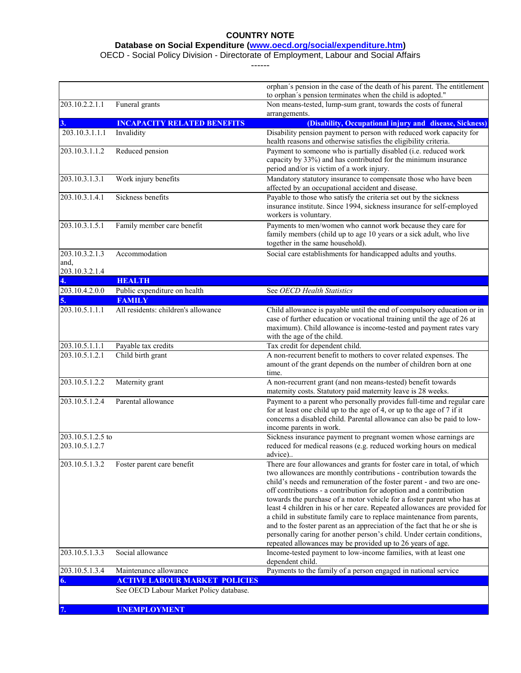**Database on Social Expenditure [\(www.oecd.org/social/expenditure.htm\)](http://www.oecd.org/social/expenditure.htm)**

OECD - Social Policy Division - Directorate of Employment, Labour and Social Affairs

------

|                        |                                               | orphan's pension in the case of the death of his parent. The entitlement                                                                                                                                                                                                                                                                                                  |
|------------------------|-----------------------------------------------|---------------------------------------------------------------------------------------------------------------------------------------------------------------------------------------------------------------------------------------------------------------------------------------------------------------------------------------------------------------------------|
|                        |                                               | to orphan's pension terminates when the child is adopted."                                                                                                                                                                                                                                                                                                                |
| 203.10.2.2.1.1         | Funeral grants                                | Non means-tested, lump-sum grant, towards the costs of funeral                                                                                                                                                                                                                                                                                                            |
| 3.                     | <b>INCAPACITY RELATED BENEFITS</b>            | arrangements.<br>(Disability, Occupational injury and disease, Sickness)                                                                                                                                                                                                                                                                                                  |
| 203.10.3.1.1.1         | Invalidity                                    | Disability pension payment to person with reduced work capacity for                                                                                                                                                                                                                                                                                                       |
|                        |                                               | health reasons and otherwise satisfies the eligibility criteria.                                                                                                                                                                                                                                                                                                          |
| 203.10.3.1.1.2         | Reduced pension                               | Payment to someone who is partially disabled (i.e. reduced work<br>capacity by 33%) and has contributed for the minimum insurance                                                                                                                                                                                                                                         |
|                        |                                               | period and/or is victim of a work injury.                                                                                                                                                                                                                                                                                                                                 |
| 203.10.3.1.3.1         | Work injury benefits                          | Mandatory statutory insurance to compensate those who have been<br>affected by an occupational accident and disease.                                                                                                                                                                                                                                                      |
| 203.10.3.1.4.1         | Sickness benefits                             | Payable to those who satisfy the criteria set out by the sickness<br>insurance institute. Since 1994, sickness insurance for self-employed<br>workers is voluntary.                                                                                                                                                                                                       |
| 203.10.3.1.5.1         | Family member care benefit                    | Payments to men/women who cannot work because they care for<br>family members (child up to age 10 years or a sick adult, who live<br>together in the same household).                                                                                                                                                                                                     |
| 203.10.3.2.1.3<br>and, | Accommodation                                 | Social care establishments for handicapped adults and youths.                                                                                                                                                                                                                                                                                                             |
| 203.10.3.2.1.4         |                                               |                                                                                                                                                                                                                                                                                                                                                                           |
|                        | <b>HEALTH</b>                                 |                                                                                                                                                                                                                                                                                                                                                                           |
| 203.10.4.2.0.0         | Public expenditure on health<br><b>FAMILY</b> | See OECD Health Statistics                                                                                                                                                                                                                                                                                                                                                |
| 5.<br>203.10.5.1.1.1   | All residents: children's allowance           | Child allowance is payable until the end of compulsory education or in                                                                                                                                                                                                                                                                                                    |
|                        |                                               | case of further education or vocational training until the age of 26 at<br>maximum). Child allowance is income-tested and payment rates vary<br>with the age of the child.                                                                                                                                                                                                |
| 203.10.5.1.1.1         | Payable tax credits                           | Tax credit for dependent child.                                                                                                                                                                                                                                                                                                                                           |
| 203.10.5.1.2.1         | Child birth grant                             | A non-recurrent benefit to mothers to cover related expenses. The<br>amount of the grant depends on the number of children born at one<br>time.                                                                                                                                                                                                                           |
| 203.10.5.1.2.2         | Maternity grant                               | A non-recurrent grant (and non means-tested) benefit towards<br>maternity costs. Statutory paid maternity leave is 28 weeks.                                                                                                                                                                                                                                              |
| 203.10.5.1.2.4         | Parental allowance                            | Payment to a parent who personally provides full-time and regular care<br>for at least one child up to the age of 4, or up to the age of 7 if it<br>concerns a disabled child. Parental allowance can also be paid to low-<br>income parents in work.                                                                                                                     |
| 203.10.5.1.2.5 to      |                                               | Sickness insurance payment to pregnant women whose earnings are                                                                                                                                                                                                                                                                                                           |
| 203.10.5.1.2.7         |                                               | reduced for medical reasons (e.g. reduced working hours on medical<br>advice)                                                                                                                                                                                                                                                                                             |
| 203.10.5.1.3.2         | Foster parent care benefit                    | There are four allowances and grants for foster care in total, of which<br>two allowances are monthly contributions - contribution towards the<br>child's needs and remuneration of the foster parent - and two are one-<br>off contributions - a contribution for adoption and a contribution<br>towards the purchase of a motor vehicle for a foster parent who has at  |
|                        |                                               | least 4 children in his or her care. Repeated allowances are provided for<br>a child in substitute family care to replace maintenance from parents,<br>and to the foster parent as an appreciation of the fact that he or she is<br>personally caring for another person's child. Under certain conditions,<br>repeated allowances may be provided up to 26 years of age. |
| 203.10.5.1.3.3         | Social allowance                              | Income-tested payment to low-income families, with at least one<br>dependent child.                                                                                                                                                                                                                                                                                       |
| 203.10.5.1.3.4         | Maintenance allowance                         | Payments to the family of a person engaged in national service                                                                                                                                                                                                                                                                                                            |
| 6.                     | <b>ACTIVE LABOUR MARKET POLICIES</b>          |                                                                                                                                                                                                                                                                                                                                                                           |
|                        | See OECD Labour Market Policy database.       |                                                                                                                                                                                                                                                                                                                                                                           |
| 7.                     | <b>UNEMPLOYMENT</b>                           |                                                                                                                                                                                                                                                                                                                                                                           |